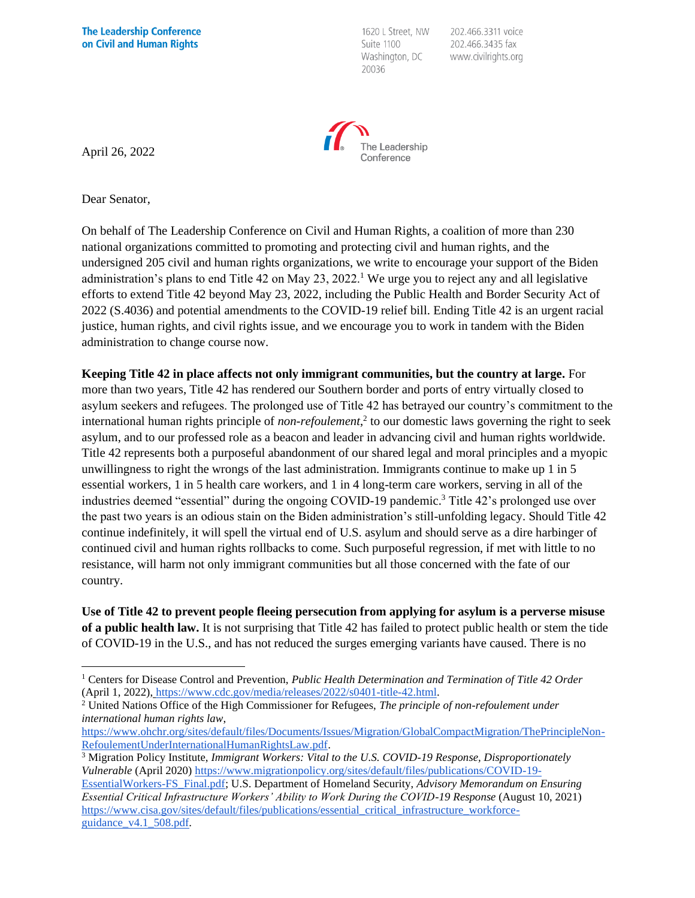1620 L Street, NW Suite 1100 Washington, DC 20036

202.466.3311 voice 202.466.3435 fax www.civilrights.org



April 26, 2022

Dear Senator,

On behalf of The Leadership Conference on Civil and Human Rights, a coalition of more than 230 national organizations committed to promoting and protecting civil and human rights, and the undersigned 205 civil and human rights organizations, we write to encourage your support of the Biden administration's plans to end Title 42 on May  $23$ ,  $2022<sup>1</sup>$  We urge you to reject any and all legislative efforts to extend Title 42 beyond May 23, 2022, including the Public Health and Border Security Act of 2022 (S.4036) and potential amendments to the COVID-19 relief bill. Ending Title 42 is an urgent racial justice, human rights, and civil rights issue, and we encourage you to work in tandem with the Biden administration to change course now.

**Keeping Title 42 in place affects not only immigrant communities, but the country at large.** For more than two years, Title 42 has rendered our Southern border and ports of entry virtually closed to asylum seekers and refugees. The prolonged use of Title 42 has betrayed our country's commitment to the international human rights principle of *non-refoulement*, 2 to our domestic laws governing the right to seek asylum, and to our professed role as a beacon and leader in advancing civil and human rights worldwide. Title 42 represents both a purposeful abandonment of our shared legal and moral principles and a myopic unwillingness to right the wrongs of the last administration. Immigrants continue to make up 1 in 5 essential workers, 1 in 5 health care workers, and 1 in 4 long-term care workers, serving in all of the industries deemed "essential" during the ongoing COVID-19 pandemic.<sup>3</sup> Title 42's prolonged use over the past two years is an odious stain on the Biden administration's still-unfolding legacy. Should Title 42 continue indefinitely, it will spell the virtual end of U.S. asylum and should serve as a dire harbinger of continued civil and human rights rollbacks to come. Such purposeful regression, if met with little to no resistance, will harm not only immigrant communities but all those concerned with the fate of our country.

**Use of Title 42 to prevent people fleeing persecution from applying for asylum is a perverse misuse of a public health law.** It is not surprising that Title 42 has failed to protect public health or stem the tide of COVID-19 in the U.S., and has not reduced the surges emerging variants have caused. There is no

<sup>1</sup> Centers for Disease Control and Prevention, *Public Health Determination and Termination of Title 42 Order* (April 1, 2022), [https://www.cdc.gov/media/releases/2022/s0401-title-42.html.](https://www.cdc.gov/media/releases/2022/s0401-title-42.html)

<sup>2</sup> United Nations Office of the High Commissioner for Refugees, *The principle of non-refoulement under international human rights law*,

[https://www.ohchr.org/sites/default/files/Documents/Issues/Migration/GlobalCompactMigration/ThePrincipleNon-](https://www.ohchr.org/sites/default/files/Documents/Issues/Migration/GlobalCompactMigration/ThePrincipleNon-RefoulementUnderInternationalHumanRightsLaw.pdf)[RefoulementUnderInternationalHumanRightsLaw.pdf.](https://www.ohchr.org/sites/default/files/Documents/Issues/Migration/GlobalCompactMigration/ThePrincipleNon-RefoulementUnderInternationalHumanRightsLaw.pdf)

<sup>3</sup> Migration Policy Institute, *Immigrant Workers: Vital to the U.S. COVID-19 Response, Disproportionately Vulnerable* (April 2020[\) https://www.migrationpolicy.org/sites/default/files/publications/COVID-19-](https://www.migrationpolicy.org/sites/default/files/publications/COVID-19-EssentialWorkers-FS_Final.pdf)

[EssentialWorkers-FS\\_Final.pdf;](https://www.migrationpolicy.org/sites/default/files/publications/COVID-19-EssentialWorkers-FS_Final.pdf) U.S. Department of Homeland Security, *Advisory Memorandum on Ensuring Essential Critical Infrastructure Workers' Ability to Work During the COVID-19 Response* (August 10, 2021) [https://www.cisa.gov/sites/default/files/publications/essential\\_critical\\_infrastructure\\_workforce](https://www.cisa.gov/sites/default/files/publications/essential_critical_infrastructure_workforce-guidance_v4.1_508.pdf)[guidance\\_v4.1\\_508.pdf.](https://www.cisa.gov/sites/default/files/publications/essential_critical_infrastructure_workforce-guidance_v4.1_508.pdf)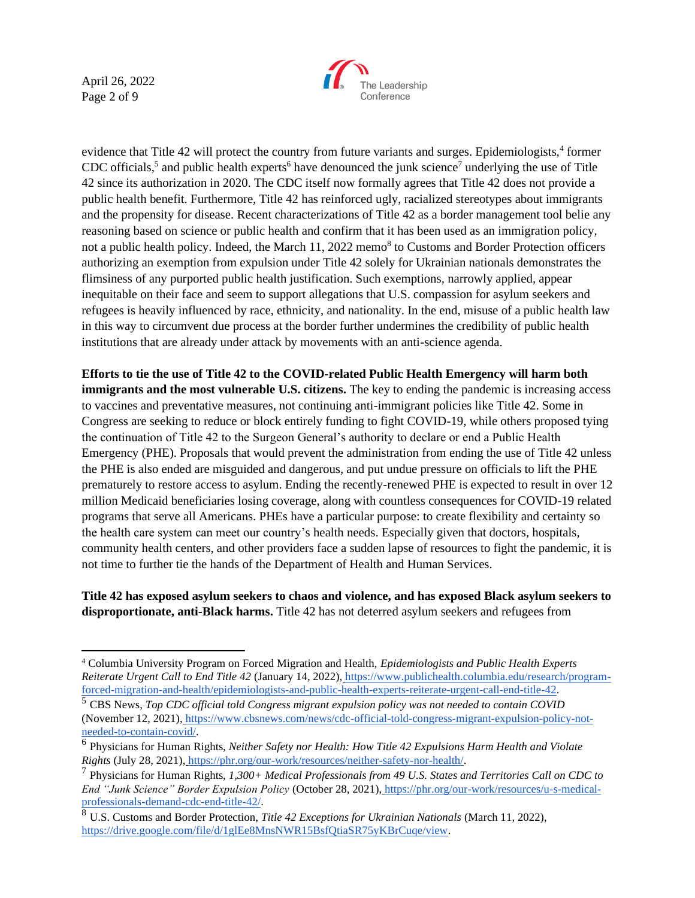April 26, 2022 Page 2 of 9



evidence that Title 42 will protect the country from future variants and surges. Epidemiologists,<sup>4</sup> former CDC officials,<sup>5</sup> and public health experts<sup>6</sup> have denounced the junk science<sup>7</sup> underlying the use of Title 42 since its authorization in 2020. The CDC itself now formally agrees that Title 42 does not provide a public health benefit. Furthermore, Title 42 has reinforced ugly, racialized stereotypes about immigrants and the propensity for disease. Recent characterizations of Title 42 as a border management tool belie any reasoning based on science or public health and confirm that it has been used as an immigration policy, not a public health policy. Indeed, the March 11, 2022 memo<sup>8</sup> to Customs and Border Protection officers authorizing an exemption from expulsion under Title 42 solely for Ukrainian nationals demonstrates the flimsiness of any purported public health justification. Such exemptions, narrowly applied, appear inequitable on their face and seem to support allegations that U.S. compassion for asylum seekers and refugees is heavily influenced by race, ethnicity, and nationality. In the end, misuse of a public health law in this way to circumvent due process at the border further undermines the credibility of public health institutions that are already under attack by movements with an anti-science agenda.

**Efforts to tie the use of Title 42 to the COVID-related Public Health Emergency will harm both immigrants and the most vulnerable U.S. citizens.** The key to ending the pandemic is increasing access to vaccines and preventative measures, not continuing anti-immigrant policies like Title 42. Some in Congress are seeking to reduce or block entirely funding to fight COVID-19, while others proposed tying the continuation of Title 42 to the Surgeon General's authority to declare or end a Public Health Emergency (PHE). Proposals that would prevent the administration from ending the use of Title 42 unless the PHE is also ended are misguided and dangerous, and put undue pressure on officials to lift the PHE prematurely to restore access to asylum. Ending the recently-renewed PHE is expected to result in over 12 million Medicaid beneficiaries losing coverage, along with countless consequences for COVID-19 related programs that serve all Americans. PHEs have a particular purpose: to create flexibility and certainty so the health care system can meet our country's health needs. Especially given that doctors, hospitals, community health centers, and other providers face a sudden lapse of resources to fight the pandemic, it is not time to further tie the hands of the Department of Health and Human Services.

**Title 42 has exposed asylum seekers to chaos and violence, and has exposed Black asylum seekers to disproportionate, anti-Black harms.** Title 42 has not deterred asylum seekers and refugees from

<sup>4</sup> Columbia University Program on Forced Migration and Health, *Epidemiologists and Public Health Experts Reiterate Urgent Call to End Title 42* (January 14, 2022), [https://www.publichealth.columbia.edu/research/program](https://www.publichealth.columbia.edu/research/program-forced-migration-and-health/epidemiologists-and-public-health-experts-reiterate-urgent-call-end-title-42)[forced-migration-and-health/epidemiologists-and-public-health-experts-reiterate-urgent-call-end-title-42.](https://www.publichealth.columbia.edu/research/program-forced-migration-and-health/epidemiologists-and-public-health-experts-reiterate-urgent-call-end-title-42)

<sup>5</sup> CBS News, *Top CDC official told Congress migrant expulsion policy was not needed to contain COVID*  (November 12, 2021), [https://www.cbsnews.com/news/cdc-official-told-congress-migrant-expulsion-policy-not](https://www.cbsnews.com/news/cdc-official-told-congress-migrant-expulsion-policy-not-needed-to-contain-covid/)[needed-to-contain-covid/.](https://www.cbsnews.com/news/cdc-official-told-congress-migrant-expulsion-policy-not-needed-to-contain-covid/)

<sup>6</sup> Physicians for Human Rights, *Neither Safety nor Health: How Title 42 Expulsions Harm Health and Violate Rights* (July 28, 2021), [https://phr.org/our-work/resources/neither-safety-nor-health/.](https://phr.org/our-work/resources/neither-safety-nor-health/)

<sup>7</sup> Physicians for Human Rights, *1,300+ Medical Professionals from 49 U.S. States and Territories Call on CDC to End "Junk Science" Border Expulsion Policy* (October 28, 2021), [https://phr.org/our-work/resources/u-s-medical](https://phr.org/our-work/resources/u-s-medical-professionals-demand-cdc-end-title-42/)[professionals-demand-cdc-end-title-42/.](https://phr.org/our-work/resources/u-s-medical-professionals-demand-cdc-end-title-42/)

<sup>8</sup> U.S. Customs and Border Protection, *Title 42 Exceptions for Ukrainian Nationals* (March 11, 2022), [https://drive.google.com/file/d/1glEe8MnsNWR15BsfQtiaSR75yKBrCuqe/view.](https://drive.google.com/file/d/1glEe8MnsNWR15BsfQtiaSR75yKBrCuqe/view)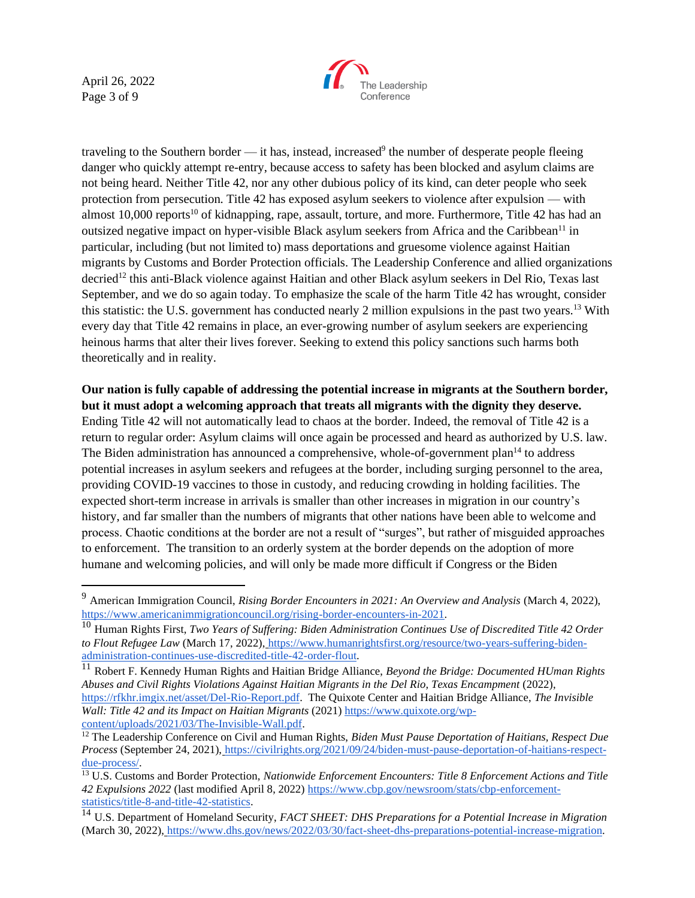April 26, 2022 Page 3 of 9



traveling to the Southern border — it has, instead, increased<sup>9</sup> the number of desperate people fleeing danger who quickly attempt re-entry, because access to safety has been blocked and asylum claims are not being heard. Neither Title 42, nor any other dubious policy of its kind, can deter people who seek protection from persecution. Title 42 has exposed asylum seekers to violence after expulsion — with almost  $10,000$  reports<sup>10</sup> of kidnapping, rape, assault, torture, and more. Furthermore, Title 42 has had an outsized negative impact on hyper-visible Black asylum seekers from Africa and the Caribbean<sup>11</sup> in particular, including (but not limited to) mass deportations and gruesome violence against Haitian migrants by Customs and Border Protection officials. The Leadership Conference and allied organizations decried<sup>12</sup> this anti-Black violence against Haitian and other Black asylum seekers in Del Rio, Texas last September, and we do so again today. To emphasize the scale of the harm Title 42 has wrought, consider this statistic: the U.S. government has conducted nearly 2 million expulsions in the past two years.<sup>13</sup> With every day that Title 42 remains in place, an ever-growing number of asylum seekers are experiencing heinous harms that alter their lives forever. Seeking to extend this policy sanctions such harms both theoretically and in reality.

**Our nation is fully capable of addressing the potential increase in migrants at the Southern border, but it must adopt a welcoming approach that treats all migrants with the dignity they deserve.**  Ending Title 42 will not automatically lead to chaos at the border. Indeed, the removal of Title 42 is a return to regular order: Asylum claims will once again be processed and heard as authorized by U.S. law. The Biden administration has announced a comprehensive, whole-of-government plan<sup>14</sup> to address potential increases in asylum seekers and refugees at the border, including surging personnel to the area, providing COVID-19 vaccines to those in custody, and reducing crowding in holding facilities. The expected short-term increase in arrivals is smaller than other increases in migration in our country's history, and far smaller than the numbers of migrants that other nations have been able to welcome and process. Chaotic conditions at the border are not a result of "surges", but rather of misguided approaches to enforcement. The transition to an orderly system at the border depends on the adoption of more humane and welcoming policies, and will only be made more difficult if Congress or the Biden

<sup>9</sup> American Immigration Council, *Rising Border Encounters in 2021: An Overview and Analysis* (March 4, 2022)[,](https://www.americanimmigrationcouncil.org/rising-border-encounters-in-2021) [https://www.americanimmigrationcouncil.org/rising-border-encounters-in-2021.](https://www.americanimmigrationcouncil.org/rising-border-encounters-in-2021)

<sup>10</sup> Human Rights First, *Two Years of Suffering: Biden Administration Continues Use of Discredited Title 42 Order to Flout Refugee Law* (March 17, 2022), [https://www.humanrightsfirst.org/resource/two-years-suffering-biden](https://www.humanrightsfirst.org/resource/two-years-suffering-biden-administration-continues-use-discredited-title-42-order-flout)[administration-continues-use-discredited-title-42-order-flout.](https://www.humanrightsfirst.org/resource/two-years-suffering-biden-administration-continues-use-discredited-title-42-order-flout)

<sup>11</sup> Robert F. Kennedy Human Rights and Haitian Bridge Alliance, *Beyond the Bridge: Documented HUman Rights Abuses and Civil Rights Violations Against Haitian Migrants in the Del Rio, Texas Encampment* (2022), [https://rfkhr.imgix.net/asset/Del-Rio-Report.pdf.](https://rfkhr.imgix.net/asset/Del-Rio-Report.pdf) The Quixote Center and Haitian Bridge Alliance, *The Invisible Wall: Title 42 and its Impact on Haitian Migrants* (2021[\) https://www.quixote.org/wp](https://www.quixote.org/wp-content/uploads/2021/03/The-Invisible-Wall.pdf)[content/uploads/2021/03/The-Invisible-Wall.pdf.](https://www.quixote.org/wp-content/uploads/2021/03/The-Invisible-Wall.pdf)

<sup>&</sup>lt;sup>12</sup> The Leadership Conference on Civil and Human Rights, *Biden Must Pause Deportation of Haitians, Respect Due Process* (September 24, 2021), [https://civilrights.org/2021/09/24/biden-must-pause-deportation-of-haitians-respect](https://civilrights.org/2021/09/24/biden-must-pause-deportation-of-haitians-respect-due-process/)[due-process/.](https://civilrights.org/2021/09/24/biden-must-pause-deportation-of-haitians-respect-due-process/)

<sup>13</sup> U.S. Customs and Border Protection, *Nationwide Enforcement Encounters: Title 8 Enforcement Actions and Title 42 Expulsions 2022* (last modified April 8, 2022) [https://www.cbp.gov/newsroom/stats/cbp-enforcement](https://www.cbp.gov/newsroom/stats/cbp-enforcement-statistics/title-8-and-title-42-statistics)[statistics/title-8-and-title-42-statistics.](https://www.cbp.gov/newsroom/stats/cbp-enforcement-statistics/title-8-and-title-42-statistics)

<sup>14</sup> U.S. Department of Homeland Security, *FACT SHEET: DHS Preparations for a Potential Increase in Migration* (March 30, 2022), [https://www.dhs.gov/news/2022/03/30/fact-sheet-dhs-preparations-potential-increase-migration.](https://www.dhs.gov/news/2022/03/30/fact-sheet-dhs-preparations-potential-increase-migration)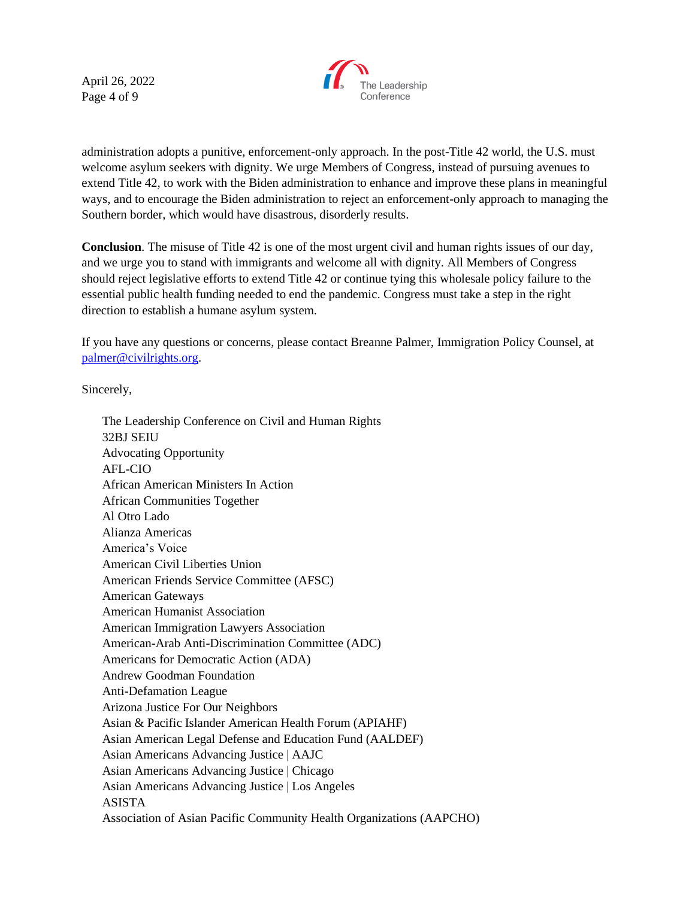April 26, 2022 Page 4 of 9



administration adopts a punitive, enforcement-only approach. In the post-Title 42 world, the U.S. must welcome asylum seekers with dignity. We urge Members of Congress, instead of pursuing avenues to extend Title 42, to work with the Biden administration to enhance and improve these plans in meaningful ways, and to encourage the Biden administration to reject an enforcement-only approach to managing the Southern border, which would have disastrous, disorderly results.

**Conclusion**. The misuse of Title 42 is one of the most urgent civil and human rights issues of our day, and we urge you to stand with immigrants and welcome all with dignity. All Members of Congress should reject legislative efforts to extend Title 42 or continue tying this wholesale policy failure to the essential public health funding needed to end the pandemic. Congress must take a step in the right direction to establish a humane asylum system.

If you have any questions or concerns, please contact Breanne Palmer, Immigration Policy Counsel, at [palmer@civilrights.org.](mailto:palmer@civilrights.org)

Sincerely,

The Leadership Conference on Civil and Human Rights 32BJ SEIU Advocating Opportunity AFL-CIO African American Ministers In Action African Communities Together Al Otro Lado Alianza Americas America's Voice American Civil Liberties Union American Friends Service Committee (AFSC) American Gateways American Humanist Association American Immigration Lawyers Association American-Arab Anti-Discrimination Committee (ADC) Americans for Democratic Action (ADA) Andrew Goodman Foundation Anti-Defamation League Arizona Justice For Our Neighbors Asian & Pacific Islander American Health Forum (APIAHF) Asian American Legal Defense and Education Fund (AALDEF) Asian Americans Advancing Justice | AAJC Asian Americans Advancing Justice | Chicago Asian Americans Advancing Justice | Los Angeles ASISTA Association of Asian Pacific Community Health Organizations (AAPCHO)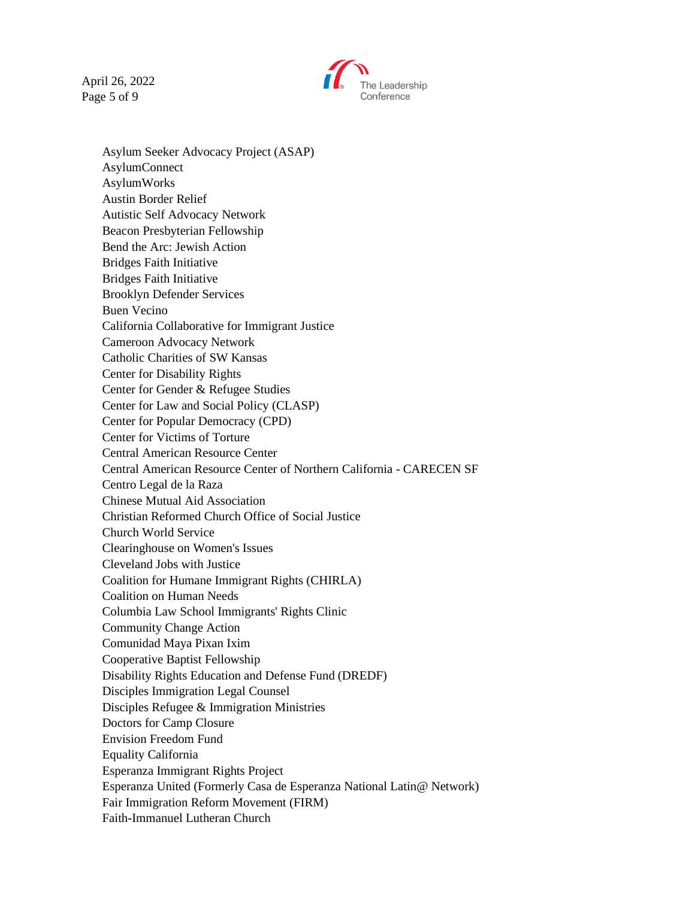April 26, 2022 Page 5 of 9



Asylum Seeker Advocacy Project (ASAP) AsylumConnect AsylumWorks Austin Border Relief Autistic Self Advocacy Network Beacon Presbyterian Fellowship Bend the Arc: Jewish Action Bridges Faith Initiative Bridges Faith Initiative Brooklyn Defender Services Buen Vecino California Collaborative for Immigrant Justice Cameroon Advocacy Network Catholic Charities of SW Kansas Center for Disability Rights Center for Gender & Refugee Studies Center for Law and Social Policy (CLASP) Center for Popular Democracy (CPD) Center for Victims of Torture Central American Resource Center Central American Resource Center of Northern California - CARECEN SF Centro Legal de la Raza Chinese Mutual Aid Association Christian Reformed Church Office of Social Justice Church World Service Clearinghouse on Women's Issues Cleveland Jobs with Justice Coalition for Humane Immigrant Rights (CHIRLA) Coalition on Human Needs Columbia Law School Immigrants' Rights Clinic Community Change Action Comunidad Maya Pixan Ixim Cooperative Baptist Fellowship Disability Rights Education and Defense Fund (DREDF) Disciples Immigration Legal Counsel Disciples Refugee & Immigration Ministries Doctors for Camp Closure Envision Freedom Fund Equality California Esperanza Immigrant Rights Project Esperanza United (Formerly Casa de Esperanza National Latin@ Network) Fair Immigration Reform Movement (FIRM) Faith-Immanuel Lutheran Church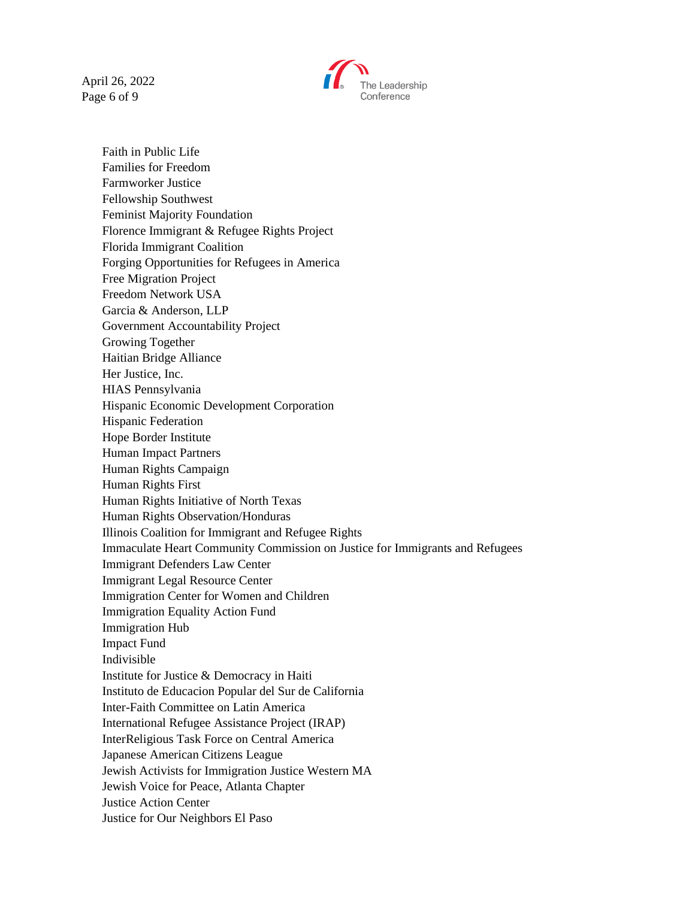April 26, 2022 Page 6 of 9



Faith in Public Life Families for Freedom Farmworker Justice Fellowship Southwest Feminist Majority Foundation Florence Immigrant & Refugee Rights Project Florida Immigrant Coalition Forging Opportunities for Refugees in America Free Migration Project Freedom Network USA Garcia & Anderson, LLP Government Accountability Project Growing Together Haitian Bridge Alliance Her Justice, Inc. HIAS Pennsylvania Hispanic Economic Development Corporation Hispanic Federation Hope Border Institute Human Impact Partners Human Rights Campaign Human Rights First Human Rights Initiative of North Texas Human Rights Observation/Honduras Illinois Coalition for Immigrant and Refugee Rights Immaculate Heart Community Commission on Justice for Immigrants and Refugees Immigrant Defenders Law Center Immigrant Legal Resource Center Immigration Center for Women and Children Immigration Equality Action Fund Immigration Hub Impact Fund Indivisible Institute for Justice & Democracy in Haiti Instituto de Educacion Popular del Sur de California Inter-Faith Committee on Latin America International Refugee Assistance Project (IRAP) InterReligious Task Force on Central America Japanese American Citizens League Jewish Activists for Immigration Justice Western MA Jewish Voice for Peace, Atlanta Chapter Justice Action Center Justice for Our Neighbors El Paso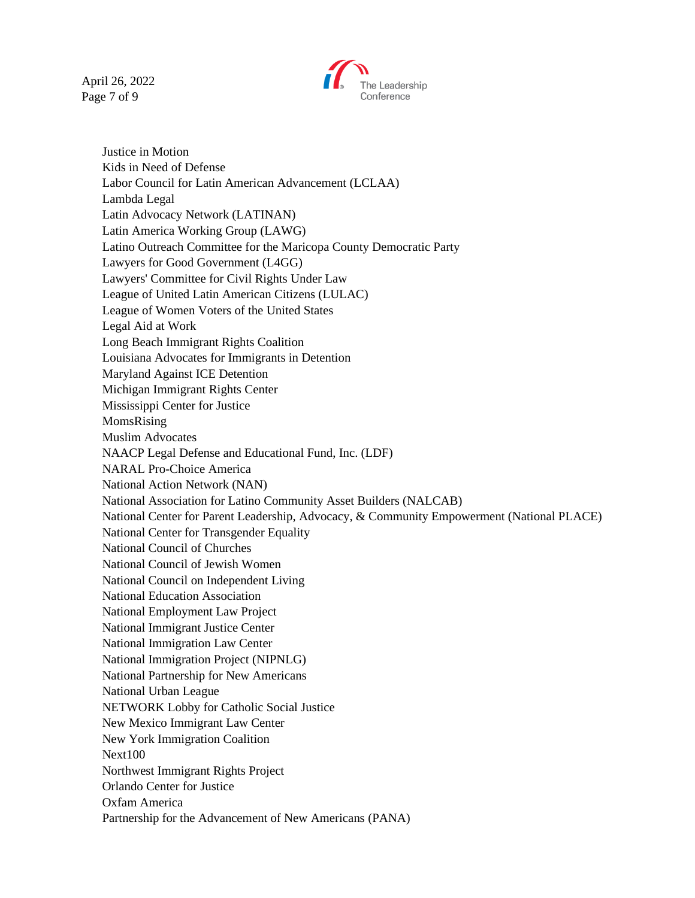April 26, 2022 Page 7 of 9



Justice in Motion Kids in Need of Defense Labor Council for Latin American Advancement (LCLAA) Lambda Legal Latin Advocacy Network (LATINAN) Latin America Working Group (LAWG) Latino Outreach Committee for the Maricopa County Democratic Party Lawyers for Good Government (L4GG) Lawyers' Committee for Civil Rights Under Law League of United Latin American Citizens (LULAC) League of Women Voters of the United States Legal Aid at Work Long Beach Immigrant Rights Coalition Louisiana Advocates for Immigrants in Detention Maryland Against ICE Detention Michigan Immigrant Rights Center Mississippi Center for Justice MomsRising Muslim Advocates NAACP Legal Defense and Educational Fund, Inc. (LDF) NARAL Pro-Choice America National Action Network (NAN) National Association for Latino Community Asset Builders (NALCAB) National Center for Parent Leadership, Advocacy, & Community Empowerment (National PLACE) National Center for Transgender Equality National Council of Churches National Council of Jewish Women National Council on Independent Living National Education Association National Employment Law Project National Immigrant Justice Center National Immigration Law Center National Immigration Project (NIPNLG) National Partnership for New Americans National Urban League NETWORK Lobby for Catholic Social Justice New Mexico Immigrant Law Center New York Immigration Coalition Next100 Northwest Immigrant Rights Project Orlando Center for Justice Oxfam America Partnership for the Advancement of New Americans (PANA)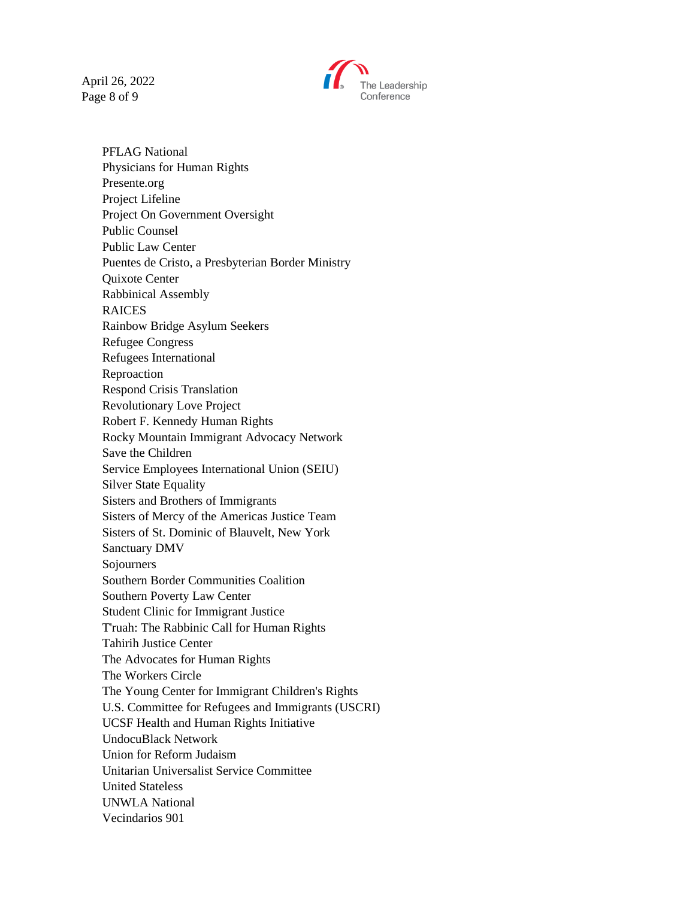April 26, 2022 Page 8 of 9



PFLAG National Physicians for Human Rights Presente.org Project Lifeline Project On Government Oversight Public Counsel Public Law Center Puentes de Cristo, a Presbyterian Border Ministry Quixote Center Rabbinical Assembly RAICES Rainbow Bridge Asylum Seekers Refugee Congress Refugees International Reproaction Respond Crisis Translation Revolutionary Love Project Robert F. Kennedy Human Rights Rocky Mountain Immigrant Advocacy Network Save the Children Service Employees International Union (SEIU) Silver State Equality Sisters and Brothers of Immigrants Sisters of Mercy of the Americas Justice Team Sisters of St. Dominic of Blauvelt, New York Sanctuary DMV Sojourners Southern Border Communities Coalition Southern Poverty Law Center Student Clinic for Immigrant Justice T'ruah: The Rabbinic Call for Human Rights Tahirih Justice Center The Advocates for Human Rights The Workers Circle The Young Center for Immigrant Children's Rights U.S. Committee for Refugees and Immigrants (USCRI) UCSF Health and Human Rights Initiative UndocuBlack Network Union for Reform Judaism Unitarian Universalist Service Committee United Stateless UNWLA National Vecindarios 901